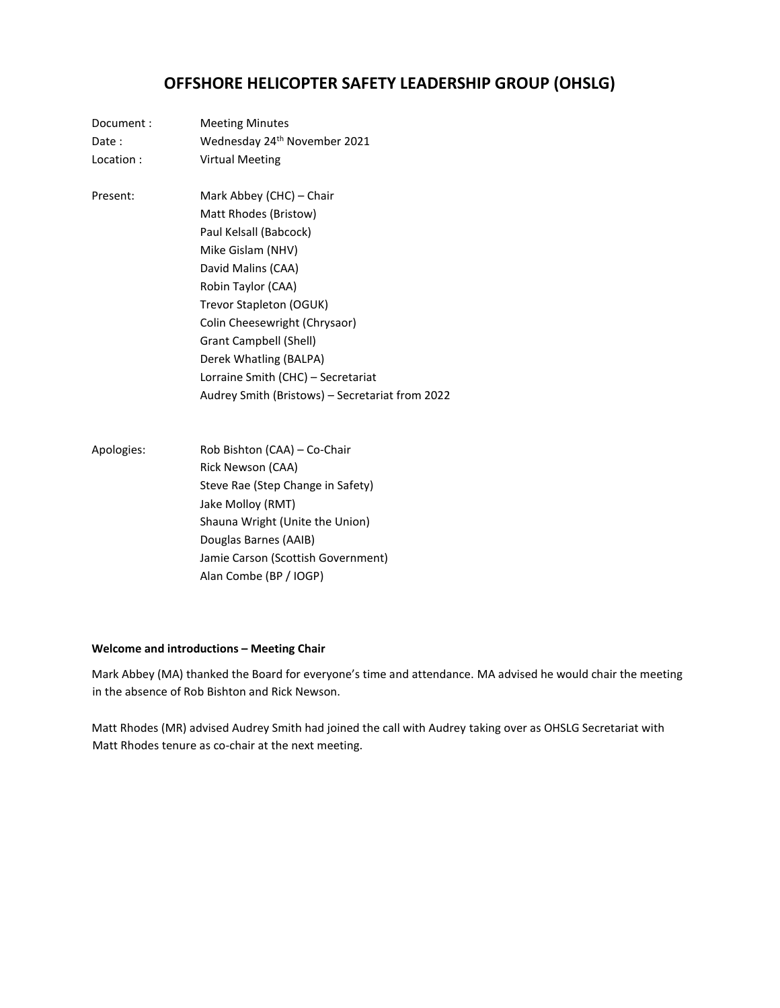# **OFFSHORE HELICOPTER SAFETY LEADERSHIP GROUP (OHSLG)**

| Document:  | <b>Meeting Minutes</b>                          |  |  |  |  |
|------------|-------------------------------------------------|--|--|--|--|
| Date:      | Wednesday 24 <sup>th</sup> November 2021        |  |  |  |  |
| Location:  | <b>Virtual Meeting</b>                          |  |  |  |  |
| Present:   | Mark Abbey (CHC) - Chair                        |  |  |  |  |
|            | Matt Rhodes (Bristow)                           |  |  |  |  |
|            | Paul Kelsall (Babcock)                          |  |  |  |  |
|            | Mike Gislam (NHV)                               |  |  |  |  |
|            | David Malins (CAA)                              |  |  |  |  |
|            | Robin Taylor (CAA)                              |  |  |  |  |
|            | Trevor Stapleton (OGUK)                         |  |  |  |  |
|            | Colin Cheesewright (Chrysaor)                   |  |  |  |  |
|            | Grant Campbell (Shell)                          |  |  |  |  |
|            | Derek Whatling (BALPA)                          |  |  |  |  |
|            | Lorraine Smith (CHC) - Secretariat              |  |  |  |  |
|            | Audrey Smith (Bristows) - Secretariat from 2022 |  |  |  |  |
| Apologies: | Rob Bishton (CAA) - Co-Chair                    |  |  |  |  |
|            | Rick Newson (CAA)                               |  |  |  |  |
|            | Steve Rae (Step Change in Safety)               |  |  |  |  |
|            | Jake Molloy (RMT)                               |  |  |  |  |
|            | Shauna Wright (Unite the Union)                 |  |  |  |  |
|            | Douglas Barnes (AAIB)                           |  |  |  |  |
|            | Jamie Carson (Scottish Government)              |  |  |  |  |
|            | Alan Combe (BP / IOGP)                          |  |  |  |  |

# **Welcome and introductions – Meeting Chair**

Mark Abbey (MA) thanked the Board for everyone's time and attendance. MA advised he would chair the meeting in the absence of Rob Bishton and Rick Newson.

Matt Rhodes (MR) advised Audrey Smith had joined the call with Audrey taking over as OHSLG Secretariat with Matt Rhodes tenure as co-chair at the next meeting.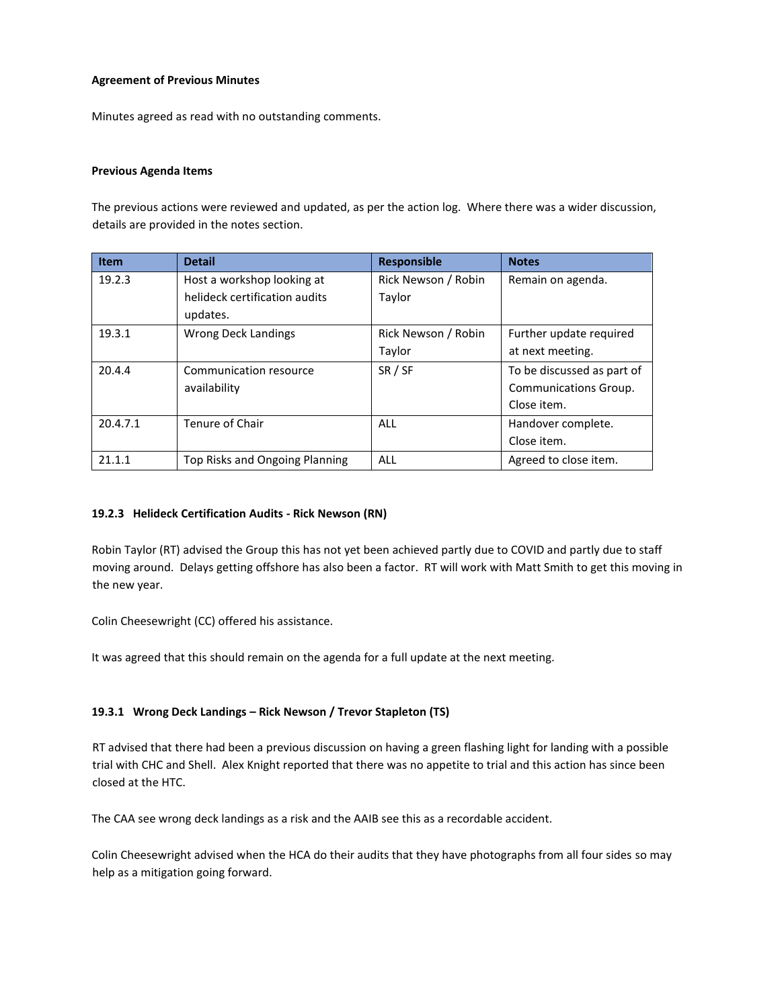## **Agreement of Previous Minutes**

Minutes agreed as read with no outstanding comments.

## **Previous Agenda Items**

The previous actions were reviewed and updated, as per the action log. Where there was a wider discussion, details are provided in the notes section.

| <b>Item</b> | <b>Detail</b>                  | <b>Responsible</b>  | <b>Notes</b>               |
|-------------|--------------------------------|---------------------|----------------------------|
| 19.2.3      | Host a workshop looking at     | Rick Newson / Robin | Remain on agenda.          |
|             | helideck certification audits  | Taylor              |                            |
|             | updates.                       |                     |                            |
| 19.3.1      | Wrong Deck Landings            | Rick Newson / Robin | Further update required    |
|             |                                | Taylor              | at next meeting.           |
| 20.4.4      | Communication resource         | SR / SF             | To be discussed as part of |
|             | availability                   |                     | Communications Group.      |
|             |                                |                     | Close item.                |
| 20.4.7.1    | Tenure of Chair                | <b>ALL</b>          | Handover complete.         |
|             |                                |                     | Close item.                |
| 21.1.1      | Top Risks and Ongoing Planning | <b>ALL</b>          | Agreed to close item.      |

# **19.2.3 Helideck Certification Audits - Rick Newson (RN)**

Robin Taylor (RT) advised the Group this has not yet been achieved partly due to COVID and partly due to staff moving around. Delays getting offshore has also been a factor. RT will work with Matt Smith to get this moving in the new year.

Colin Cheesewright (CC) offered his assistance.

It was agreed that this should remain on the agenda for a full update at the next meeting.

# **19.3.1 Wrong Deck Landings – Rick Newson / Trevor Stapleton (TS)**

RT advised that there had been a previous discussion on having a green flashing light for landing with a possible trial with CHC and Shell. Alex Knight reported that there was no appetite to trial and this action has since been closed at the HTC.

The CAA see wrong deck landings as a risk and the AAIB see this as a recordable accident.

Colin Cheesewright advised when the HCA do their audits that they have photographs from all four sides so may help as a mitigation going forward.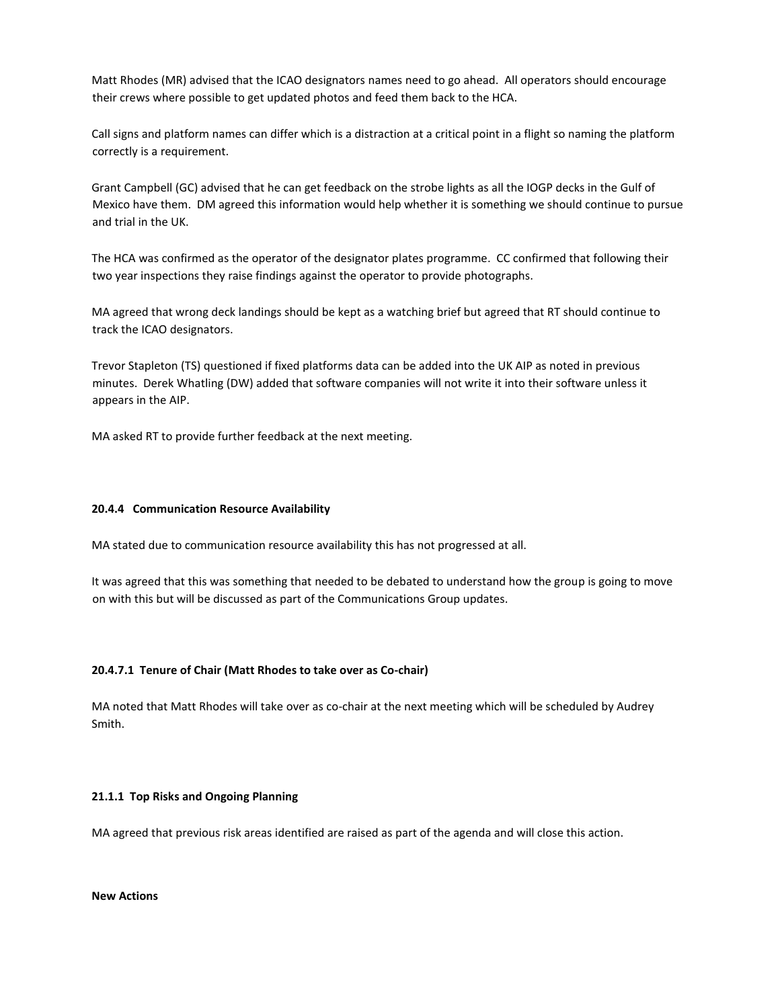Matt Rhodes (MR) advised that the ICAO designators names need to go ahead. All operators should encourage their crews where possible to get updated photos and feed them back to the HCA.

Call signs and platform names can differ which is a distraction at a critical point in a flight so naming the platform correctly is a requirement.

Grant Campbell (GC) advised that he can get feedback on the strobe lights as all the IOGP decks in the Gulf of Mexico have them. DM agreed this information would help whether it is something we should continue to pursue and trial in the UK.

The HCA was confirmed as the operator of the designator plates programme. CC confirmed that following their two year inspections they raise findings against the operator to provide photographs.

MA agreed that wrong deck landings should be kept as a watching brief but agreed that RT should continue to track the ICAO designators.

Trevor Stapleton (TS) questioned if fixed platforms data can be added into the UK AIP as noted in previous minutes. Derek Whatling (DW) added that software companies will not write it into their software unless it appears in the AIP.

MA asked RT to provide further feedback at the next meeting.

#### **20.4.4 Communication Resource Availability**

MA stated due to communication resource availability this has not progressed at all.

It was agreed that this was something that needed to be debated to understand how the group is going to move on with this but will be discussed as part of the Communications Group updates.

# **20.4.7.1 Tenure of Chair (Matt Rhodes to take over as Co-chair)**

MA noted that Matt Rhodes will take over as co-chair at the next meeting which will be scheduled by Audrey Smith.

#### **21.1.1 Top Risks and Ongoing Planning**

MA agreed that previous risk areas identified are raised as part of the agenda and will close this action.

**New Actions**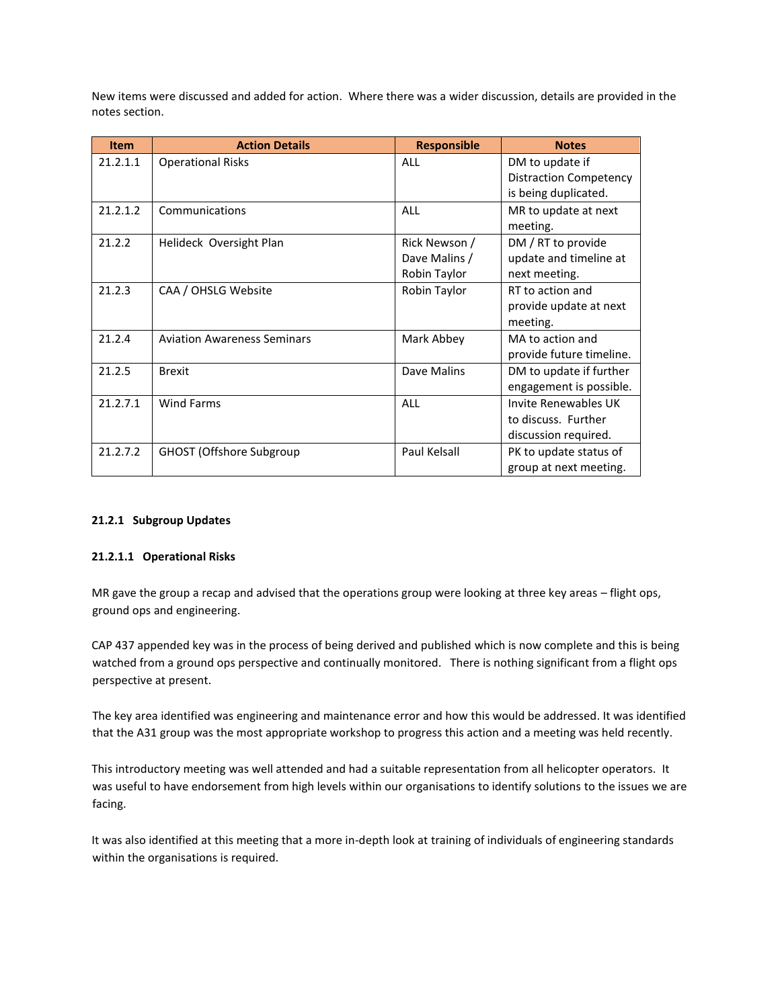New items were discussed and added for action. Where there was a wider discussion, details are provided in the notes section.

| <b>Item</b> | <b>Action Details</b>              | <b>Responsible</b> | <b>Notes</b>                  |
|-------------|------------------------------------|--------------------|-------------------------------|
| 21.2.1.1    | <b>Operational Risks</b>           | <b>ALL</b>         | DM to update if               |
|             |                                    |                    | <b>Distraction Competency</b> |
|             |                                    |                    | is being duplicated.          |
| 21.2.1.2    | Communications                     | <b>ALL</b>         | MR to update at next          |
|             |                                    |                    | meeting.                      |
| 21.2.2      | Helideck Oversight Plan            | Rick Newson /      | DM / RT to provide            |
|             |                                    | Dave Malins /      | update and timeline at        |
|             |                                    | Robin Taylor       | next meeting.                 |
| 21.2.3      | CAA / OHSLG Website                | Robin Taylor       | RT to action and              |
|             |                                    |                    | provide update at next        |
|             |                                    |                    | meeting.                      |
| 21.2.4      | <b>Aviation Awareness Seminars</b> | Mark Abbey         | MA to action and              |
|             |                                    |                    | provide future timeline.      |
| 21.2.5      | <b>Brexit</b>                      | Dave Malins        | DM to update if further       |
|             |                                    |                    | engagement is possible.       |
| 21.2.7.1    | <b>Wind Farms</b>                  | <b>ALL</b>         | <b>Invite Renewables UK</b>   |
|             |                                    |                    | to discuss. Further           |
|             |                                    |                    | discussion required.          |
| 21.2.7.2    | <b>GHOST (Offshore Subgroup</b>    | Paul Kelsall       | PK to update status of        |
|             |                                    |                    | group at next meeting.        |

#### **21.2.1 Subgroup Updates**

#### **21.2.1.1 Operational Risks**

MR gave the group a recap and advised that the operations group were looking at three key areas – flight ops, ground ops and engineering.

CAP 437 appended key was in the process of being derived and published which is now complete and this is being watched from a ground ops perspective and continually monitored. There is nothing significant from a flight ops perspective at present.

The key area identified was engineering and maintenance error and how this would be addressed. It was identified that the A31 group was the most appropriate workshop to progress this action and a meeting was held recently.

This introductory meeting was well attended and had a suitable representation from all helicopter operators. It was useful to have endorsement from high levels within our organisations to identify solutions to the issues we are facing.

It was also identified at this meeting that a more in-depth look at training of individuals of engineering standards within the organisations is required.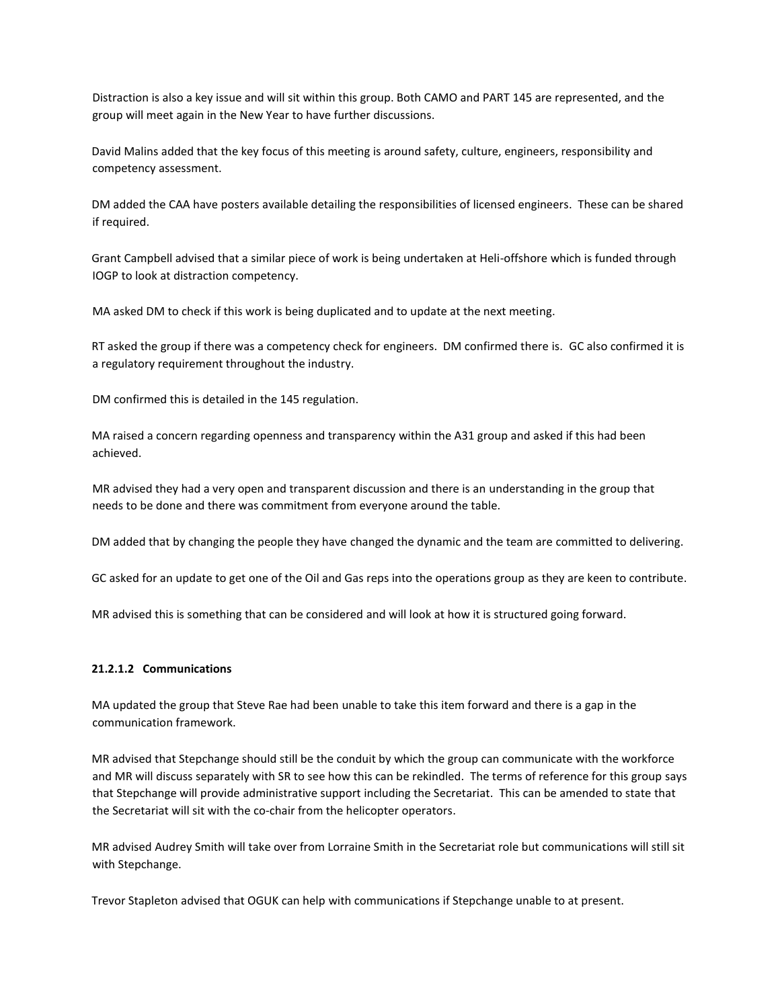Distraction is also a key issue and will sit within this group. Both CAMO and PART 145 are represented, and the group will meet again in the New Year to have further discussions.

David Malins added that the key focus of this meeting is around safety, culture, engineers, responsibility and competency assessment.

DM added the CAA have posters available detailing the responsibilities of licensed engineers. These can be shared if required.

Grant Campbell advised that a similar piece of work is being undertaken at Heli-offshore which is funded through IOGP to look at distraction competency.

MA asked DM to check if this work is being duplicated and to update at the next meeting.

RT asked the group if there was a competency check for engineers. DM confirmed there is. GC also confirmed it is a regulatory requirement throughout the industry.

DM confirmed this is detailed in the 145 regulation.

MA raised a concern regarding openness and transparency within the A31 group and asked if this had been achieved.

MR advised they had a very open and transparent discussion and there is an understanding in the group that needs to be done and there was commitment from everyone around the table.

DM added that by changing the people they have changed the dynamic and the team are committed to delivering.

GC asked for an update to get one of the Oil and Gas reps into the operations group as they are keen to contribute.

MR advised this is something that can be considered and will look at how it is structured going forward.

#### **21.2.1.2 Communications**

MA updated the group that Steve Rae had been unable to take this item forward and there is a gap in the communication framework.

MR advised that Stepchange should still be the conduit by which the group can communicate with the workforce and MR will discuss separately with SR to see how this can be rekindled. The terms of reference for this group says that Stepchange will provide administrative support including the Secretariat. This can be amended to state that the Secretariat will sit with the co-chair from the helicopter operators.

MR advised Audrey Smith will take over from Lorraine Smith in the Secretariat role but communications will still sit with Stepchange.

Trevor Stapleton advised that OGUK can help with communications if Stepchange unable to at present.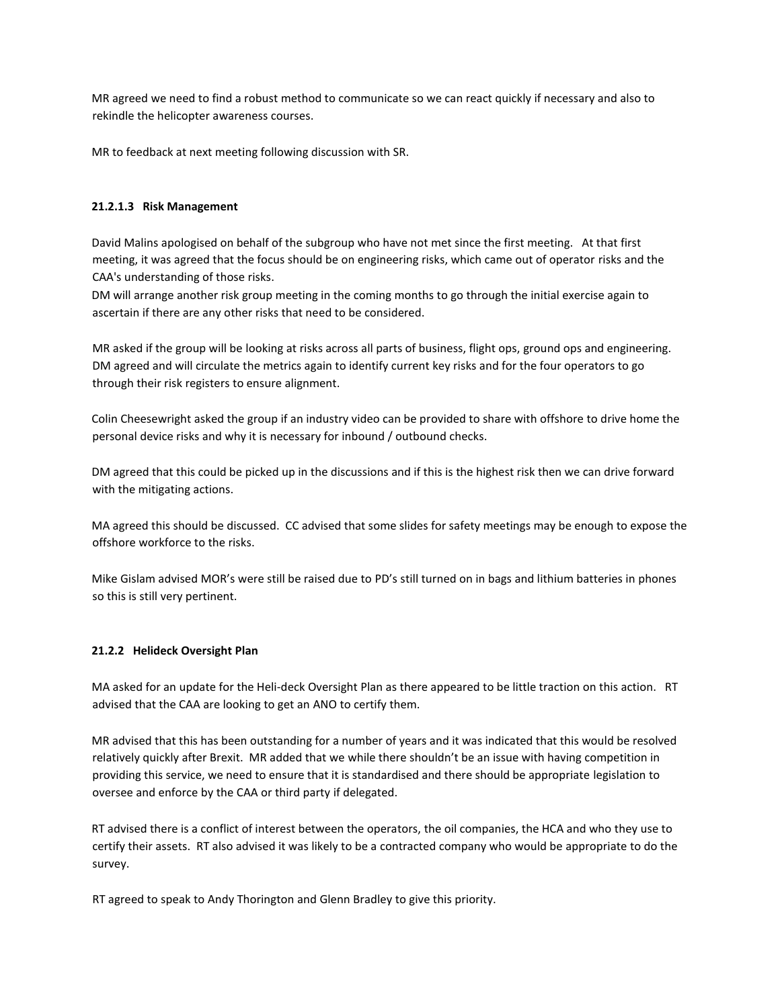MR agreed we need to find a robust method to communicate so we can react quickly if necessary and also to rekindle the helicopter awareness courses.

MR to feedback at next meeting following discussion with SR.

## **21.2.1.3 Risk Management**

David Malins apologised on behalf of the subgroup who have not met since the first meeting. At that first meeting, it was agreed that the focus should be on engineering risks, which came out of operator risks and the CAA's understanding of those risks.

DM will arrange another risk group meeting in the coming months to go through the initial exercise again to ascertain if there are any other risks that need to be considered.

MR asked if the group will be looking at risks across all parts of business, flight ops, ground ops and engineering. DM agreed and will circulate the metrics again to identify current key risks and for the four operators to go through their risk registers to ensure alignment.

Colin Cheesewright asked the group if an industry video can be provided to share with offshore to drive home the personal device risks and why it is necessary for inbound / outbound checks.

DM agreed that this could be picked up in the discussions and if this is the highest risk then we can drive forward with the mitigating actions.

MA agreed this should be discussed. CC advised that some slides for safety meetings may be enough to expose the offshore workforce to the risks.

Mike Gislam advised MOR's were still be raised due to PD's still turned on in bags and lithium batteries in phones so this is still very pertinent.

#### **21.2.2 Helideck Oversight Plan**

MA asked for an update for the Heli-deck Oversight Plan as there appeared to be little traction on this action. RT advised that the CAA are looking to get an ANO to certify them.

MR advised that this has been outstanding for a number of years and it was indicated that this would be resolved relatively quickly after Brexit. MR added that we while there shouldn't be an issue with having competition in providing this service, we need to ensure that it is standardised and there should be appropriate legislation to oversee and enforce by the CAA or third party if delegated.

RT advised there is a conflict of interest between the operators, the oil companies, the HCA and who they use to certify their assets. RT also advised it was likely to be a contracted company who would be appropriate to do the survey.

RT agreed to speak to Andy Thorington and Glenn Bradley to give this priority.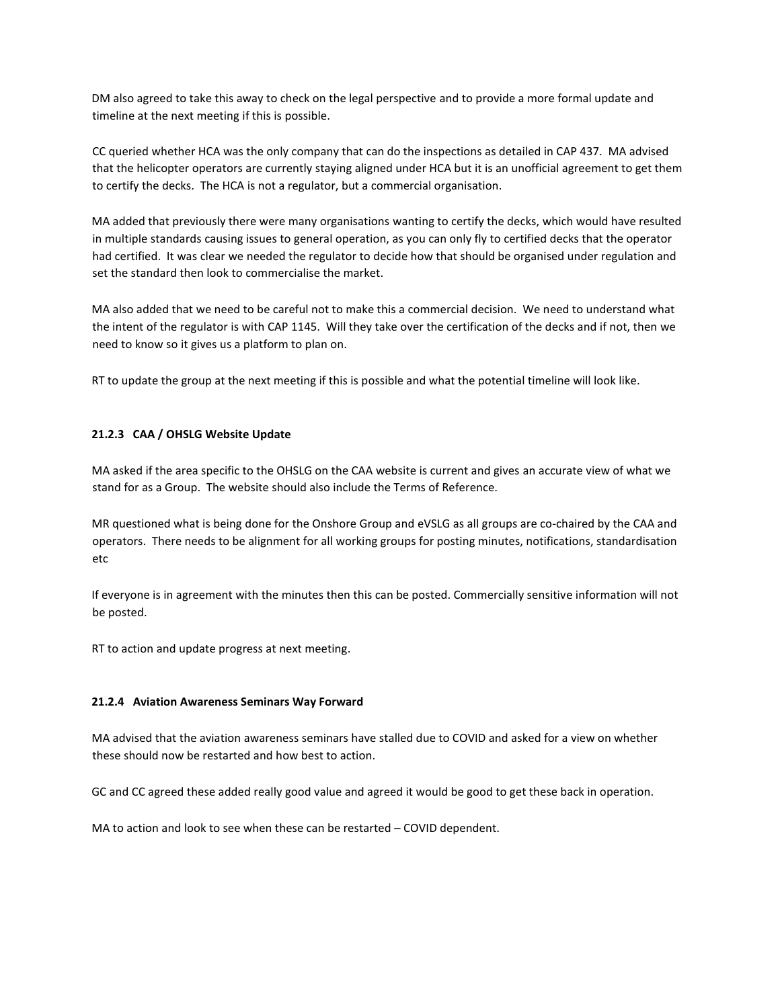DM also agreed to take this away to check on the legal perspective and to provide a more formal update and timeline at the next meeting if this is possible.

CC queried whether HCA was the only company that can do the inspections as detailed in CAP 437. MA advised that the helicopter operators are currently staying aligned under HCA but it is an unofficial agreement to get them to certify the decks. The HCA is not a regulator, but a commercial organisation.

MA added that previously there were many organisations wanting to certify the decks, which would have resulted in multiple standards causing issues to general operation, as you can only fly to certified decks that the operator had certified. It was clear we needed the regulator to decide how that should be organised under regulation and set the standard then look to commercialise the market.

MA also added that we need to be careful not to make this a commercial decision. We need to understand what the intent of the regulator is with CAP 1145. Will they take over the certification of the decks and if not, then we need to know so it gives us a platform to plan on.

RT to update the group at the next meeting if this is possible and what the potential timeline will look like.

# **21.2.3 CAA / OHSLG Website Update**

MA asked if the area specific to the OHSLG on the CAA website is current and gives an accurate view of what we stand for as a Group. The website should also include the Terms of Reference.

MR questioned what is being done for the Onshore Group and eVSLG as all groups are co-chaired by the CAA and operators. There needs to be alignment for all working groups for posting minutes, notifications, standardisation etc

If everyone is in agreement with the minutes then this can be posted. Commercially sensitive information will not be posted.

RT to action and update progress at next meeting.

#### **21.2.4 Aviation Awareness Seminars Way Forward**

MA advised that the aviation awareness seminars have stalled due to COVID and asked for a view on whether these should now be restarted and how best to action.

GC and CC agreed these added really good value and agreed it would be good to get these back in operation.

MA to action and look to see when these can be restarted – COVID dependent.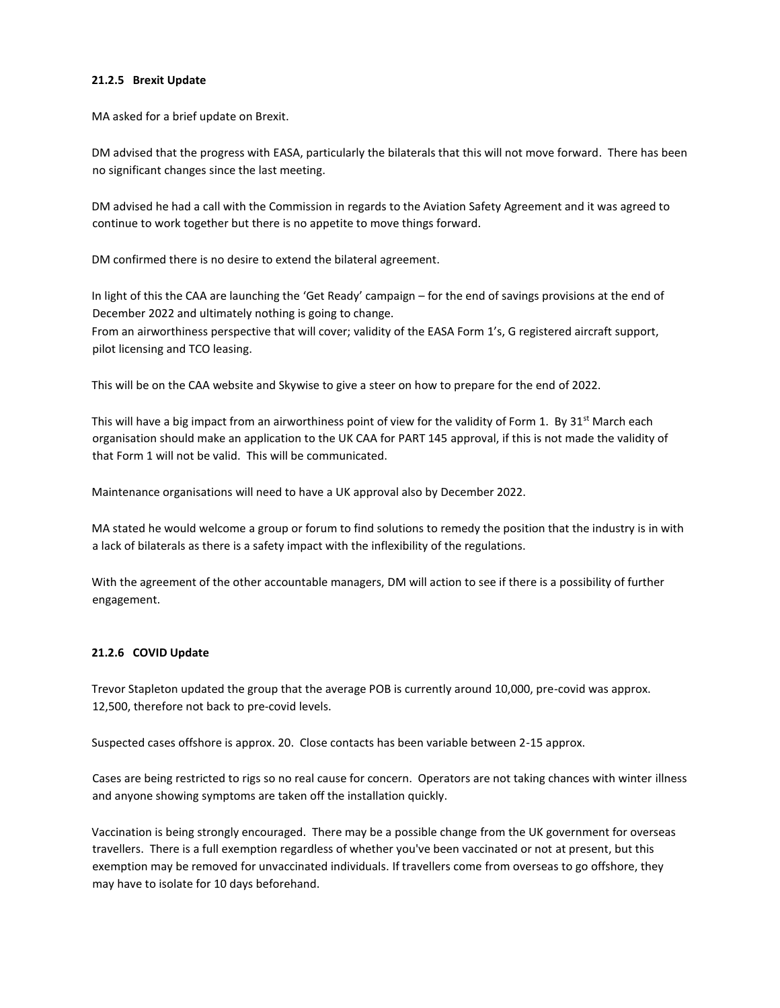### **21.2.5 Brexit Update**

MA asked for a brief update on Brexit.

DM advised that the progress with EASA, particularly the bilaterals that this will not move forward. There has been no significant changes since the last meeting.

DM advised he had a call with the Commission in regards to the Aviation Safety Agreement and it was agreed to continue to work together but there is no appetite to move things forward.

DM confirmed there is no desire to extend the bilateral agreement.

In light of this the CAA are launching the 'Get Ready' campaign – for the end of savings provisions at the end of December 2022 and ultimately nothing is going to change. From an airworthiness perspective that will cover; validity of the EASA Form 1's, G registered aircraft support, pilot licensing and TCO leasing.

This will be on the CAA website and Skywise to give a steer on how to prepare for the end of 2022.

This will have a big impact from an airworthiness point of view for the validity of Form 1. By 31<sup>st</sup> March each organisation should make an application to the UK CAA for PART 145 approval, if this is not made the validity of that Form 1 will not be valid. This will be communicated.

Maintenance organisations will need to have a UK approval also by December 2022.

MA stated he would welcome a group or forum to find solutions to remedy the position that the industry is in with a lack of bilaterals as there is a safety impact with the inflexibility of the regulations.

With the agreement of the other accountable managers, DM will action to see if there is a possibility of further engagement.

# **21.2.6 COVID Update**

Trevor Stapleton updated the group that the average POB is currently around 10,000, pre-covid was approx. 12,500, therefore not back to pre-covid levels.

Suspected cases offshore is approx. 20. Close contacts has been variable between 2-15 approx.

Cases are being restricted to rigs so no real cause for concern. Operators are not taking chances with winter illness and anyone showing symptoms are taken off the installation quickly.

Vaccination is being strongly encouraged. There may be a possible change from the UK government for overseas travellers. There is a full exemption regardless of whether you've been vaccinated or not at present, but this exemption may be removed for unvaccinated individuals. If travellers come from overseas to go offshore, they may have to isolate for 10 days beforehand.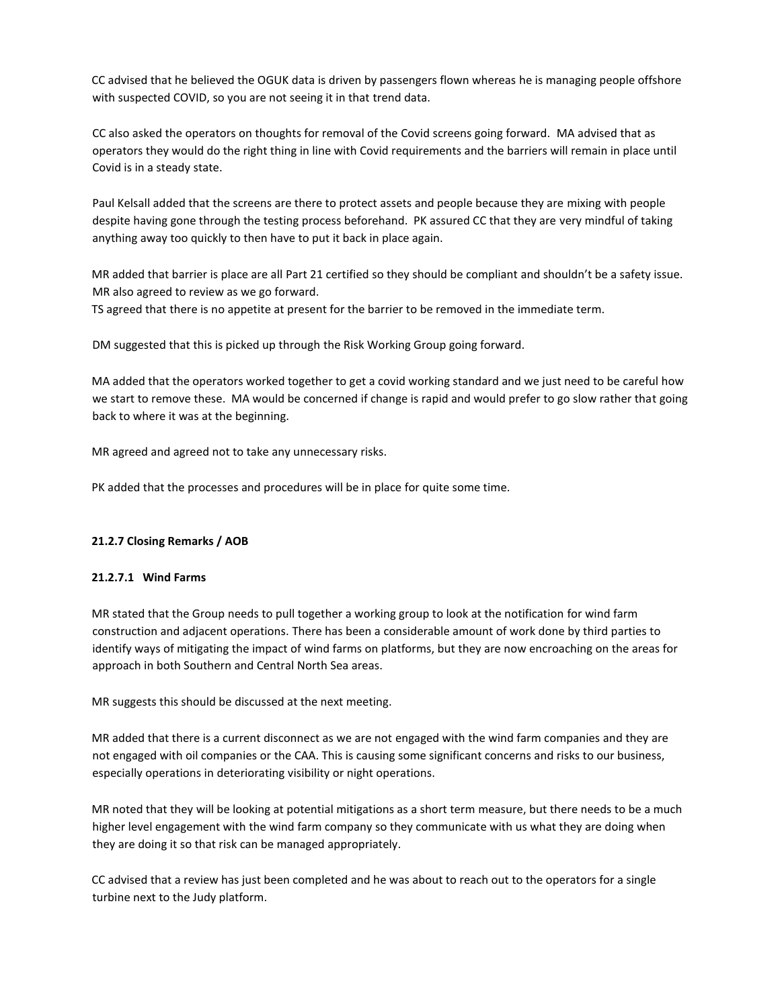CC advised that he believed the OGUK data is driven by passengers flown whereas he is managing people offshore with suspected COVID, so you are not seeing it in that trend data.

CC also asked the operators on thoughts for removal of the Covid screens going forward. MA advised that as operators they would do the right thing in line with Covid requirements and the barriers will remain in place until Covid is in a steady state.

Paul Kelsall added that the screens are there to protect assets and people because they are mixing with people despite having gone through the testing process beforehand. PK assured CC that they are very mindful of taking anything away too quickly to then have to put it back in place again.

MR added that barrier is place are all Part 21 certified so they should be compliant and shouldn't be a safety issue. MR also agreed to review as we go forward.

TS agreed that there is no appetite at present for the barrier to be removed in the immediate term.

DM suggested that this is picked up through the Risk Working Group going forward.

MA added that the operators worked together to get a covid working standard and we just need to be careful how we start to remove these. MA would be concerned if change is rapid and would prefer to go slow rather that going back to where it was at the beginning.

MR agreed and agreed not to take any unnecessary risks.

PK added that the processes and procedures will be in place for quite some time.

# **21.2.7 Closing Remarks / AOB**

#### **21.2.7.1 Wind Farms**

MR stated that the Group needs to pull together a working group to look at the notification for wind farm construction and adjacent operations. There has been a considerable amount of work done by third parties to identify ways of mitigating the impact of wind farms on platforms, but they are now encroaching on the areas for approach in both Southern and Central North Sea areas.

MR suggests this should be discussed at the next meeting.

MR added that there is a current disconnect as we are not engaged with the wind farm companies and they are not engaged with oil companies or the CAA. This is causing some significant concerns and risks to our business, especially operations in deteriorating visibility or night operations.

MR noted that they will be looking at potential mitigations as a short term measure, but there needs to be a much higher level engagement with the wind farm company so they communicate with us what they are doing when they are doing it so that risk can be managed appropriately.

CC advised that a review has just been completed and he was about to reach out to the operators for a single turbine next to the Judy platform.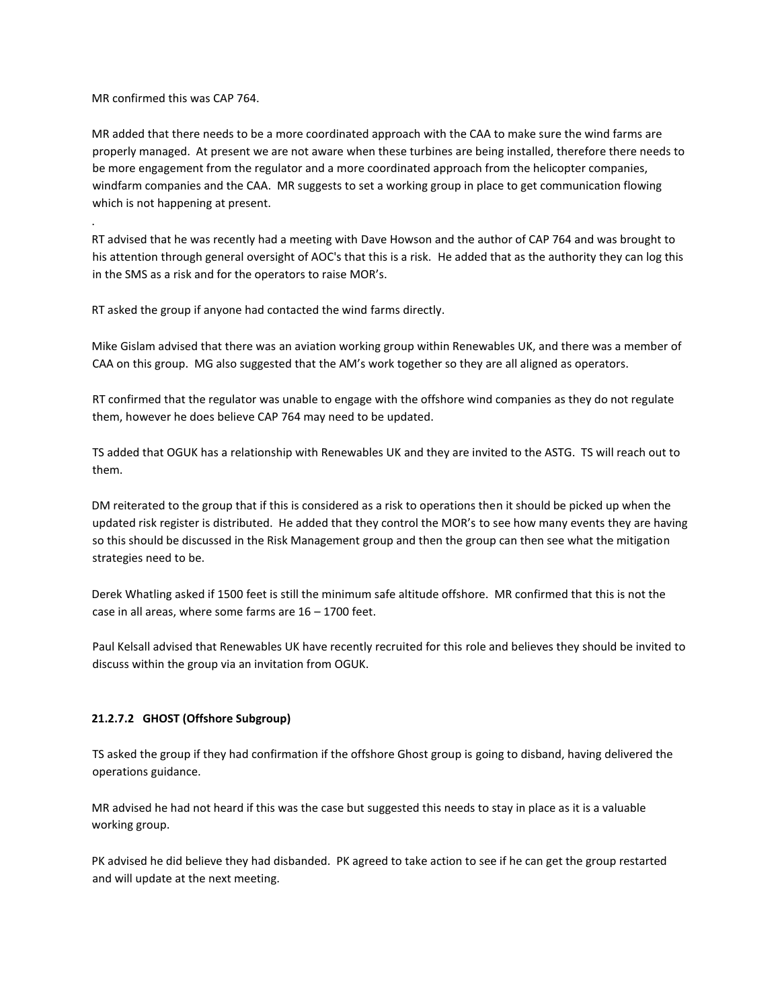MR confirmed this was CAP 764.

.

MR added that there needs to be a more coordinated approach with the CAA to make sure the wind farms are properly managed. At present we are not aware when these turbines are being installed, therefore there needs to be more engagement from the regulator and a more coordinated approach from the helicopter companies, windfarm companies and the CAA. MR suggests to set a working group in place to get communication flowing which is not happening at present.

RT advised that he was recently had a meeting with Dave Howson and the author of CAP 764 and was brought to his attention through general oversight of AOC's that this is a risk. He added that as the authority they can log this in the SMS as a risk and for the operators to raise MOR's.

RT asked the group if anyone had contacted the wind farms directly.

Mike Gislam advised that there was an aviation working group within Renewables UK, and there was a member of CAA on this group. MG also suggested that the AM's work together so they are all aligned as operators.

RT confirmed that the regulator was unable to engage with the offshore wind companies as they do not regulate them, however he does believe CAP 764 may need to be updated.

TS added that OGUK has a relationship with Renewables UK and they are invited to the ASTG. TS will reach out to them.

DM reiterated to the group that if this is considered as a risk to operations then it should be picked up when the updated risk register is distributed. He added that they control the MOR's to see how many events they are having so this should be discussed in the Risk Management group and then the group can then see what the mitigation strategies need to be.

Derek Whatling asked if 1500 feet is still the minimum safe altitude offshore. MR confirmed that this is not the case in all areas, where some farms are 16 – 1700 feet.

Paul Kelsall advised that Renewables UK have recently recruited for this role and believes they should be invited to discuss within the group via an invitation from OGUK.

# **21.2.7.2 GHOST (Offshore Subgroup)**

TS asked the group if they had confirmation if the offshore Ghost group is going to disband, having delivered the operations guidance.

MR advised he had not heard if this was the case but suggested this needs to stay in place as it is a valuable working group.

PK advised he did believe they had disbanded. PK agreed to take action to see if he can get the group restarted and will update at the next meeting.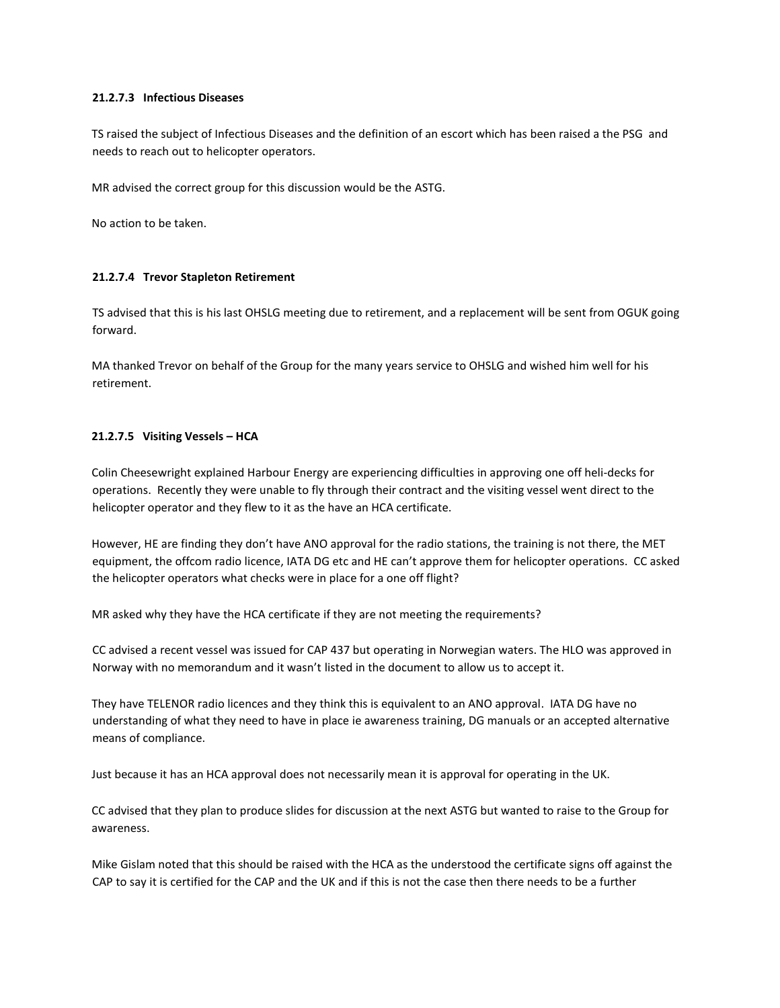# **21.2.7.3 Infectious Diseases**

TS raised the subject of Infectious Diseases and the definition of an escort which has been raised a the PSG and needs to reach out to helicopter operators.

MR advised the correct group for this discussion would be the ASTG.

No action to be taken.

## **21.2.7.4 Trevor Stapleton Retirement**

TS advised that this is his last OHSLG meeting due to retirement, and a replacement will be sent from OGUK going forward.

MA thanked Trevor on behalf of the Group for the many years service to OHSLG and wished him well for his retirement.

## **21.2.7.5 Visiting Vessels – HCA**

Colin Cheesewright explained Harbour Energy are experiencing difficulties in approving one off heli-decks for operations. Recently they were unable to fly through their contract and the visiting vessel went direct to the helicopter operator and they flew to it as the have an HCA certificate.

However, HE are finding they don't have ANO approval for the radio stations, the training is not there, the MET equipment, the offcom radio licence, IATA DG etc and HE can't approve them for helicopter operations. CC asked the helicopter operators what checks were in place for a one off flight?

MR asked why they have the HCA certificate if they are not meeting the requirements?

CC advised a recent vessel was issued for CAP 437 but operating in Norwegian waters. The HLO was approved in Norway with no memorandum and it wasn't listed in the document to allow us to accept it.

They have TELENOR radio licences and they think this is equivalent to an ANO approval. IATA DG have no understanding of what they need to have in place ie awareness training, DG manuals or an accepted alternative means of compliance.

Just because it has an HCA approval does not necessarily mean it is approval for operating in the UK.

CC advised that they plan to produce slides for discussion at the next ASTG but wanted to raise to the Group for awareness.

Mike Gislam noted that this should be raised with the HCA as the understood the certificate signs off against the CAP to say it is certified for the CAP and the UK and if this is not the case then there needs to be a further